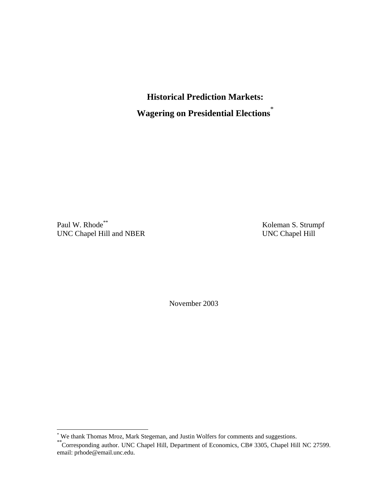**Historical Prediction Markets: Wagering on Presidential Elections**\*

Paul W. Rhode<sup>\*\*</sup> Koleman S. Strumpf UNC Chapel Hill and NBER UNC Chapel Hill

November 2003

 \* We thank Thomas Mroz, Mark Stegeman, and Justin Wolfers for comments and suggestions.

<sup>\*\*</sup>Corresponding author. UNC Chapel Hill, Department of Economics, CB# 3305, Chapel Hill NC 27599. email: prhode@email.unc.edu.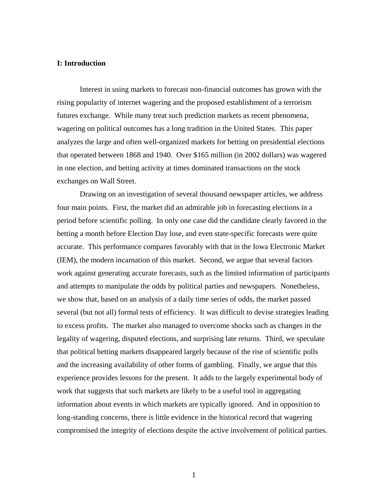## **I: Introduction**

Interest in using markets to forecast non-financial outcomes has grown with the rising popularity of internet wagering and the proposed establishment of a terrorism futures exchange. While many treat such prediction markets as recent phenomena, wagering on political outcomes has a long tradition in the United States. This paper analyzes the large and often well-organized markets for betting on presidential elections that operated between 1868 and 1940. Over \$165 million (in 2002 dollars) was wagered in one election, and betting activity at times dominated transactions on the stock exchanges on Wall Street.

Drawing on an investigation of several thousand newspaper articles, we address four main points. First, the market did an admirable job in forecasting elections in a period before scientific polling. In only one case did the candidate clearly favored in the betting a month before Election Day lose, and even state-specific forecasts were quite accurate. This performance compares favorably with that in the Iowa Electronic Market (IEM), the modern incarnation of this market. Second, we argue that several factors work against generating accurate forecasts, such as the limited information of participants and attempts to manipulate the odds by political parties and newspapers. Nonetheless, we show that, based on an analysis of a daily time series of odds, the market passed several (but not all) formal tests of efficiency. It was difficult to devise strategies leading to excess profits. The market also managed to overcome shocks such as changes in the legality of wagering, disputed elections, and surprising late returns. Third, we speculate that political betting markets disappeared largely because of the rise of scientific polls and the increasing availability of other forms of gambling. Finally, we argue that this experience provides lessons for the present. It adds to the largely experimental body of work that suggests that such markets are likely to be a useful tool in aggregating information about events in which markets are typically ignored. And in opposition to long-standing concerns, there is little evidence in the historical record that wagering compromised the integrity of elections despite the active involvement of political parties.

1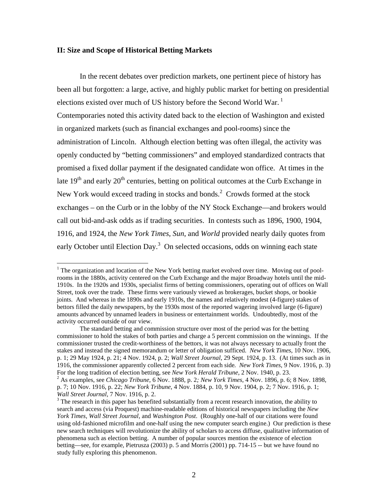## **II: Size and Scope of Historical Betting Markets**

In the recent debates over prediction markets, one pertinent piece of history has been all but forgotten: a large, active, and highly public market for betting on presidential elections existed over much of US history before the Second World War.<sup>1</sup> Contemporaries noted this activity dated back to the election of Washington and existed in organized markets (such as financial exchanges and pool-rooms) since the administration of Lincoln. Although election betting was often illegal, the activity was openly conducted by "betting commissioners" and employed standardized contracts that promised a fixed dollar payment if the designated candidate won office. At times in the late  $19<sup>th</sup>$  and early  $20<sup>th</sup>$  centuries, betting on political outcomes at the Curb Exchange in New York would exceed trading in stocks and bonds. $2$  Crowds formed at the stock exchanges – on the Curb or in the lobby of the NY Stock Exchange—and brokers would call out bid-and-ask odds as if trading securities. In contests such as 1896, 1900, 1904, 1916, and 1924, the *New York Times*, *Sun*, and *World* provided nearly daily quotes from early October until Election Day.<sup>3</sup> On selected occasions, odds on winning each state

The organization and location of the New York betting market evolved over time. Moving out of poolrooms in the 1880s, activity centered on the Curb Exchange and the major Broadway hotels until the mid-1910s. In the 1920s and 1930s, specialist firms of betting commissioners, operating out of offices on Wall Street, took over the trade. These firms were variously viewed as brokerages, bucket shops, or bookie joints. And whereas in the 1890s and early 1910s, the names and relatively modest (4-figure) stakes of bettors filled the daily newspapers, by the 1930s most of the reported wagering involved large (6-figure) amounts advanced by unnamed leaders in business or entertainment worlds. Undoubtedly, most of the activity occurred outside of our view.

The standard betting and commission structure over most of the period was for the betting commissioner to hold the stakes of both parties and charge a 5 percent commission on the winnings. If the commissioner trusted the credit-worthiness of the bettors, it was not always necessary to actually front the stakes and instead the signed memorandum or letter of obligation sufficed. *New York Times*, 10 Nov. 1906, p. 1; 29 May 1924, p. 21; 4 Nov. 1924, p. 2; *Wall Street Journal*, 29 Sept. 1924, p. 13. (At times such as in 1916, the commissioner apparently collected 2 percent from each side*. New York Times*, 9 Nov. 1916, p. 3) For the long tradition of election betting, see *New York Herald Tribune*, 2 Nov. 1940, p. 23. 2

As examples, see *Chicago Tribune*, 6 Nov. 1888, p. 2*; New York Times*, 4 Nov. 1896, p. 6; 8 Nov. 1898, p. 7; 10 Nov. 1916, p. 22; *New York Tribune*, 4 Nov. 1884, p. 10, 9 Nov. 1904, p. 2; 7 Nov. 1916, p. 1; *Wall Street Journal*, 7 Nov. 1916, p. 2.

<sup>&</sup>lt;sup>3</sup> The research in this paper has benefited substantially from a recent research innovation, the ability to search and access (via Proquest) machine-readable editions of historical newspapers including the *New York Times*, *Wall Street Journal*, and *Washington Post*. (Roughly one-half of our citations were found using old-fashioned microfilm and one-half using the new computer search engine.) Our prediction is these new search techniques will revolutionize the ability of scholars to access diffuse, qualitative information of phenomena such as election betting. A number of popular sources mention the existence of election betting—see, for example, Pietrusza (2003) p. 5 and Morris (2001) pp. 714-15 -- but we have found no study fully exploring this phenomenon.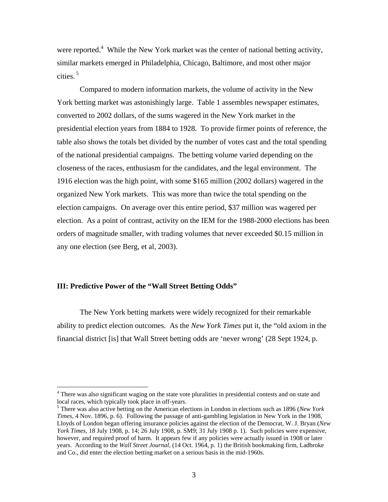were reported.<sup>4</sup> While the New York market was the center of national betting activity, similar markets emerged in Philadelphia, Chicago, Baltimore, and most other major cities. 5

Compared to modern information markets, the volume of activity in the New York betting market was astonishingly large. Table 1 assembles newspaper estimates, converted to 2002 dollars, of the sums wagered in the New York market in the presidential election years from 1884 to 1928. To provide firmer points of reference, the table also shows the totals bet divided by the number of votes cast and the total spending of the national presidential campaigns. The betting volume varied depending on the closeness of the races, enthusiasm for the candidates, and the legal environment. The 1916 election was the high point, with some \$165 million (2002 dollars) wagered in the organized New York markets. This was more than twice the total spending on the election campaigns. On average over this entire period, \$37 million was wagered per election. As a point of contrast, activity on the IEM for the 1988-2000 elections has been orders of magnitude smaller, with trading volumes that never exceeded \$0.15 million in any one election (see Berg, et al, 2003).

# **III: Predictive Power of the "Wall Street Betting Odds"**

The New York betting markets were widely recognized for their remarkable ability to predict election outcomes. As the *New York Times* put it, the "old axiom in the financial district [is] that Wall Street betting odds are 'never wrong' (28 Sept 1924, p.

There was also significant waging on the state vote pluralities in presidential contests and on state and<br><sup>4</sup> There was also significant waging on the state vote pluralities in presidential contests and on state and local races, which typically took place in off-years.

<sup>5</sup> There was also active betting on the American elections in London in elections such as 1896 (*New York Times*, 4 Nov. 1896, p. 6). Following the passage of anti-gambling legislation in New York in the 1908, Lloyds of London began offering insurance policies against the election of the Democrat, W. J. Bryan (*New York Times*, 18 July 1908, p. 14; 26 July 1908, p. SM9; 31 July 1908 p. 1). Such policies were expensive, however, and required proof of harm. It appears few if any policies were actually issued in 1908 or later years. According to the *Wall Street Journal*, (14 Oct. 1964, p. 1) the British bookmaking firm, Ladbroke and Co., did enter the election betting market on a serious basis in the mid-1960s.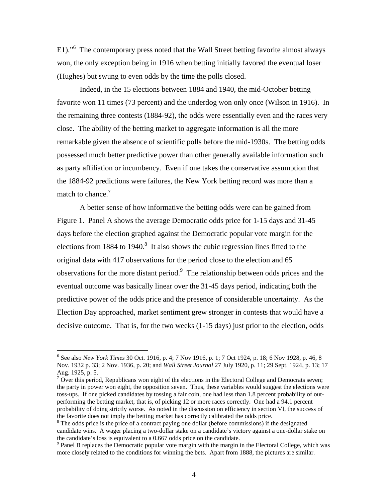E1)."<sup>6</sup> The contemporary press noted that the Wall Street betting favorite almost always won, the only exception being in 1916 when betting initially favored the eventual loser (Hughes) but swung to even odds by the time the polls closed.

Indeed, in the 15 elections between 1884 and 1940, the mid-October betting favorite won 11 times (73 percent) and the underdog won only once (Wilson in 1916). In the remaining three contests (1884-92), the odds were essentially even and the races very close. The ability of the betting market to aggregate information is all the more remarkable given the absence of scientific polls before the mid-1930s. The betting odds possessed much better predictive power than other generally available information such as party affiliation or incumbency. Even if one takes the conservative assumption that the 1884-92 predictions were failures, the New York betting record was more than a match to chance.<sup>7</sup>

A better sense of how informative the betting odds were can be gained from Figure 1. Panel A shows the average Democratic odds price for 1-15 days and 31-45 days before the election graphed against the Democratic popular vote margin for the elections from 1884 to 1940.<sup>8</sup> It also shows the cubic regression lines fitted to the original data with 417 observations for the period close to the election and 65 observations for the more distant period.<sup>9</sup> The relationship between odds prices and the eventual outcome was basically linear over the 31-45 days period, indicating both the predictive power of the odds price and the presence of considerable uncertainty. As the Election Day approached, market sentiment grew stronger in contests that would have a decisive outcome. That is, for the two weeks (1-15 days) just prior to the election, odds

1

<sup>6</sup> See also *New York Times* 30 Oct. 1916, p. 4; 7 Nov 1916, p. 1; 7 Oct 1924, p. 18; 6 Nov 1928, p. 46, 8 Nov. 1932 p. 33; 2 Nov. 1936, p. 20; and *Wall Street Journal* 27 July 1920, p. 11; 29 Sept. 1924, p. 13; 17 Aug. 1925, p. 5.

 $7$  Over this period, Republicans won eight of the elections in the Electoral College and Democrats seven; the party in power won eight, the opposition seven. Thus, these variables would suggest the elections were toss-ups. If one picked candidates by tossing a fair coin, one had less than 1.8 percent probability of outperforming the betting market, that is, of picking 12 or more races correctly. One had a 94.1 percent probability of doing strictly worse. As noted in the discussion on efficiency in section VI, the success of the favorite does not imply the betting market has correctly calibrated the odds price.

<sup>&</sup>lt;sup>8</sup> The odds price is the price of a contract paying one dollar (before commissions) if the designated candidate wins. A wager placing a two-dollar stake on a candidate's victory against a one-dollar stake on the candidate's loss is equivalent to a 0.667 odds price on the candidate.

<sup>&</sup>lt;sup>9</sup> Panel B replaces the Democratic popular vote margin with the margin in the Electoral College, which was more closely related to the conditions for winning the bets. Apart from 1888, the pictures are similar.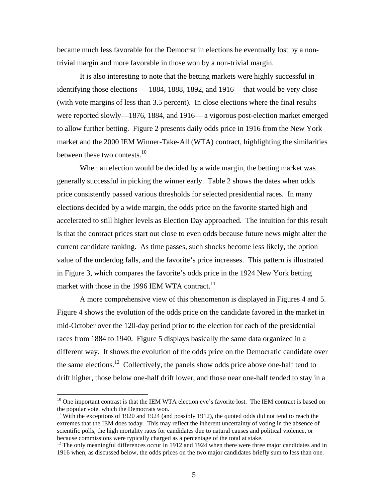became much less favorable for the Democrat in elections he eventually lost by a nontrivial margin and more favorable in those won by a non-trivial margin.

It is also interesting to note that the betting markets were highly successful in identifying those elections — 1884, 1888, 1892, and 1916— that would be very close (with vote margins of less than 3.5 percent). In close elections where the final results were reported slowly—1876, 1884, and 1916— a vigorous post-election market emerged to allow further betting. Figure 2 presents daily odds price in 1916 from the New York market and the 2000 IEM Winner-Take-All (WTA) contract, highlighting the similarities between these two contests. $10<sup>10</sup>$ 

When an election would be decided by a wide margin, the betting market was generally successful in picking the winner early. Table 2 shows the dates when odds price consistently passed various thresholds for selected presidential races. In many elections decided by a wide margin, the odds price on the favorite started high and accelerated to still higher levels as Election Day approached. The intuition for this result is that the contract prices start out close to even odds because future news might alter the current candidate ranking. As time passes, such shocks become less likely, the option value of the underdog falls, and the favorite's price increases. This pattern is illustrated in Figure 3, which compares the favorite's odds price in the 1924 New York betting market with those in the 1996 IEM WTA contract.<sup>11</sup>

A more comprehensive view of this phenomenon is displayed in Figures 4 and 5. Figure 4 shows the evolution of the odds price on the candidate favored in the market in mid-October over the 120-day period prior to the election for each of the presidential races from 1884 to 1940. Figure 5 displays basically the same data organized in a different way. It shows the evolution of the odds price on the Democratic candidate over the same elections.12 Collectively, the panels show odds price above one-half tend to drift higher, those below one-half drift lower, and those near one-half tended to stay in a

-

<sup>&</sup>lt;sup>10</sup> One important contrast is that the IEM WTA election eve's favorite lost. The IEM contract is based on the popular vote, which the Democrats won.

 $11$  With the exceptions of 1920 and 1924 (and possibly 1912), the quoted odds did not tend to reach the extremes that the IEM does today. This may reflect the inherent uncertainty of voting in the absence of scientific polls, the high mortality rates for candidates due to natural causes and political violence, or because commissions were typically charged as a percentage of the total at stake.

<sup>&</sup>lt;sup>12</sup> The only meaningful differences occur in 1912 and 1924 when there were three major candidates and in 1916 when, as discussed below, the odds prices on the two major candidates briefly sum to less than one.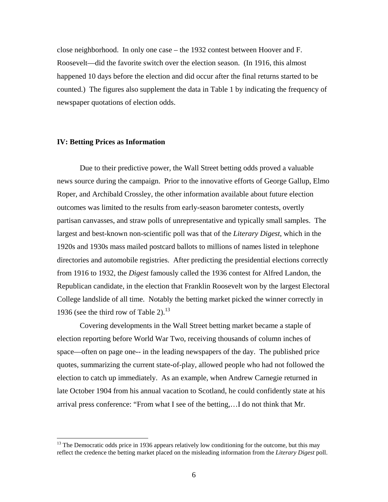close neighborhood. In only one case – the 1932 contest between Hoover and F. Roosevelt—did the favorite switch over the election season. (In 1916, this almost happened 10 days before the election and did occur after the final returns started to be counted.) The figures also supplement the data in Table 1 by indicating the frequency of newspaper quotations of election odds.

#### **IV: Betting Prices as Information**

<u>.</u>

Due to their predictive power, the Wall Street betting odds proved a valuable news source during the campaign. Prior to the innovative efforts of George Gallup, Elmo Roper, and Archibald Crossley, the other information available about future election outcomes was limited to the results from early-season barometer contests, overtly partisan canvasses, and straw polls of unrepresentative and typically small samples. The largest and best-known non-scientific poll was that of the *Literary Digest*, which in the 1920s and 1930s mass mailed postcard ballots to millions of names listed in telephone directories and automobile registries. After predicting the presidential elections correctly from 1916 to 1932, the *Digest* famously called the 1936 contest for Alfred Landon, the Republican candidate, in the election that Franklin Roosevelt won by the largest Electoral College landslide of all time. Notably the betting market picked the winner correctly in 1936 (see the third row of Table 2). $^{13}$ 

Covering developments in the Wall Street betting market became a staple of election reporting before World War Two, receiving thousands of column inches of space—often on page one-- in the leading newspapers of the day. The published price quotes, summarizing the current state-of-play, allowed people who had not followed the election to catch up immediately. As an example, when Andrew Carnegie returned in late October 1904 from his annual vacation to Scotland, he could confidently state at his arrival press conference: "From what I see of the betting,…I do not think that Mr.

<sup>&</sup>lt;sup>13</sup> The Democratic odds price in 1936 appears relatively low conditioning for the outcome, but this may reflect the credence the betting market placed on the misleading information from the *Literary Digest* poll.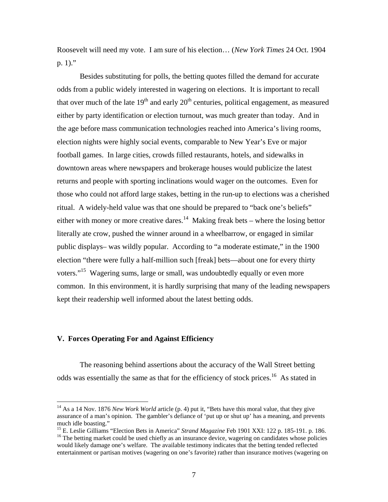Roosevelt will need my vote. I am sure of his election… (*New York Times* 24 Oct. 1904 p. 1)."

Besides substituting for polls, the betting quotes filled the demand for accurate odds from a public widely interested in wagering on elections. It is important to recall that over much of the late  $19<sup>th</sup>$  and early  $20<sup>th</sup>$  centuries, political engagement, as measured either by party identification or election turnout, was much greater than today. And in the age before mass communication technologies reached into America's living rooms, election nights were highly social events, comparable to New Year's Eve or major football games. In large cities, crowds filled restaurants, hotels, and sidewalks in downtown areas where newspapers and brokerage houses would publicize the latest returns and people with sporting inclinations would wager on the outcomes. Even for those who could not afford large stakes, betting in the run-up to elections was a cherished ritual. A widely-held value was that one should be prepared to "back one's beliefs" either with money or more creative dares.<sup>14</sup> Making freak bets – where the losing bettor literally ate crow, pushed the winner around in a wheelbarrow, or engaged in similar public displays– was wildly popular. According to "a moderate estimate," in the 1900 election "there were fully a half-million such [freak] bets—about one for every thirty voters."<sup>15</sup> Wagering sums, large or small, was undoubtedly equally or even more common. In this environment, it is hardly surprising that many of the leading newspapers kept their readership well informed about the latest betting odds.

## **V. Forces Operating For and Against Efficiency**

<u>.</u>

 The reasoning behind assertions about the accuracy of the Wall Street betting odds was essentially the same as that for the efficiency of stock prices.<sup>16</sup> As stated in

<sup>&</sup>lt;sup>14</sup> As a 14 Nov. 1876 *New Work World* article (p. 4) put it, "Bets have this moral value, that they give assurance of a man's opinion. The gambler's defiance of 'put up or shut up' has a meaning, and prevents much idle boasting."<br><sup>15</sup> E. Leslie Gilliams "Election Bets in America" *Strand Magazine* Feb 1901 XXI: 122 p. 185-191. p. 186.

<sup>&</sup>lt;sup>16</sup> The betting market could be used chiefly as an insurance device, wagering on candidates whose policies would likely damage one's welfare. The available testimony indicates that the betting tended reflected entertainment or partisan motives (wagering on one's favorite) rather than insurance motives (wagering on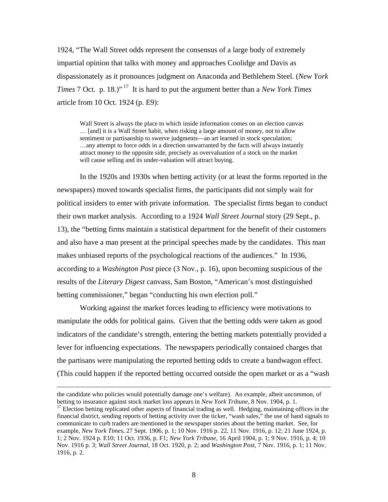1924, "The Wall Street odds represent the consensus of a large body of extremely impartial opinion that talks with money and approaches Coolidge and Davis as dispassionately as it pronounces judgment on Anaconda and Bethlehem Steel. (*New York Times* 7 Oct. p. 18.)" 17 It is hard to put the argument better than a *New York Times* article from 10 Oct. 1924 (p. E9):

Wall Street is always the place to which inside information comes on an election canvas … [and] it is a Wall Street habit, when risking a large amount of money, not to allow sentiment or partisanship to swerve judgments—an art learned in stock speculation; …any attempt to force odds in a direction unwarranted by the facts will always instantly attract money to the opposite side, precisely as overvaluation of a stock on the market will cause selling and its under-valuation will attract buying.

In the 1920s and 1930s when betting activity (or at least the forms reported in the newspapers) moved towards specialist firms, the participants did not simply wait for political insiders to enter with private information. The specialist firms began to conduct their own market analysis. According to a 1924 *Wall Street Journal* story (29 Sept., p. 13), the "betting firms maintain a statistical department for the benefit of their customers and also have a man present at the principal speeches made by the candidates. This man makes unbiased reports of the psychological reactions of the audiences." In 1936, according to a *Washington Post* piece (3 Nov., p. 16), upon becoming suspicious of the results of the *Literary Digest* canvass, Sam Boston, "American's most distinguished betting commissioner," began "conducting his own election poll."

Working against the market forces leading to efficiency were motivations to manipulate the odds for political gains. Given that the betting odds were taken as good indicators of the candidate's strength, entering the betting markets potentially provided a lever for influencing expectations. The newspapers periodically contained charges that the partisans were manipulating the reported betting odds to create a bandwagon effect. (This could happen if the reported betting occurred outside the open market or as a "wash

the candidate who policies would potentially damage one's welfare). An example, albeit uncommon, of betting to insurance against stock market loss appears in *New York Tribune*, 8 Nov. 1904, p. 1.<br><sup>17</sup> Election betting replicated other aspects of financial trading as well. Hedging, maintaining offices in the

financial district, sending reports of betting activity over the ticker, "wash sales," the use of hand signals to communicate to curb traders are mentioned in the newspaper stories about the betting market. See, for example, *New York Times*, 27 Sept. 1906, p. 1; 10 Nov. 1916 p. 22, 11 Nov. 1916, p. 12; 21 June 1924, p. 1; 2 Nov. 1924 p. E10; 11 Oct. 1936, p. F1; *New York Tribune*, 16 April 1904, p. 1; 9 Nov. 1916, p. 4; 10 Nov. 1916 p. 3; *Wall Street Journal*, 18 Oct. 1920, p. 2; and *Washington Post*, 7 Nov. 1916, p. 1; 11 Nov. 1916, p. 2.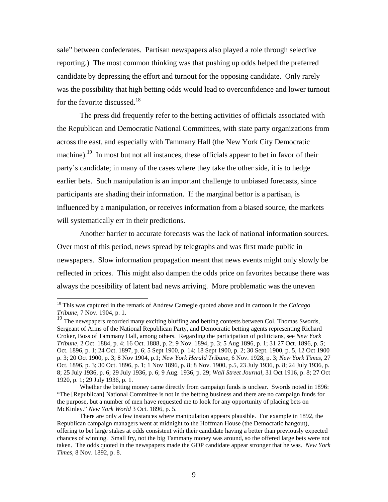sale" between confederates. Partisan newspapers also played a role through selective reporting.) The most common thinking was that pushing up odds helped the preferred candidate by depressing the effort and turnout for the opposing candidate. Only rarely was the possibility that high betting odds would lead to overconfidence and lower turnout for the favorite discussed.<sup>18</sup>

The press did frequently refer to the betting activities of officials associated with the Republican and Democratic National Committees, with state party organizations from across the east, and especially with Tammany Hall (the New York City Democratic machine).<sup>19</sup> In most but not all instances, these officials appear to bet in favor of their party's candidate; in many of the cases where they take the other side, it is to hedge earlier bets. Such manipulation is an important challenge to unbiased forecasts, since participants are shading their information. If the marginal bettor is a partisan, is influenced by a manipulation, or receives information from a biased source, the markets will systematically err in their predictions.

Another barrier to accurate forecasts was the lack of national information sources. Over most of this period, news spread by telegraphs and was first made public in newspapers. Slow information propagation meant that news events might only slowly be reflected in prices. This might also dampen the odds price on favorites because there was always the possibility of latent bad news arriving. More problematic was the uneven

<sup>18</sup> This was captured in the remark of Andrew Carnegie quoted above and in cartoon in the *Chicago Tribune*, 7 Nov. 1904, p. 1.

<sup>&</sup>lt;sup>19</sup> The newspapers recorded many exciting bluffing and betting contests between Col. Thomas Swords, Sergeant of Arms of the National Republican Party, and Democratic betting agents representing Richard Croker, Boss of Tammany Hall, among others. Regarding the participation of politicians, see *New York Tribune*, 2 Oct. 1884, p. 4; 16 Oct. 1888, p. 2; 9 Nov. 1894, p. 3; 5 Aug 1896, p. 1; 31 27 Oct. 1896, p. 5; Oct. 1896, p. 1; 24 Oct. 1897, p. 6; 5 Sept 1900, p. 14; 18 Sept 1900, p. 2; 30 Sept. 1900, p. 5, 12 Oct 1900 p. 3; 20 Oct 1900, p. 3; 8 Nov 1904, p.1; *New York Herald Tribune*, 6 Nov. 1928, p. 3; *New York Times*, 27 Oct. 1896, p. 3; 30 Oct. 1896, p. 1; 1 Nov 1896, p. 8; 8 Nov. 1900, p.5, 23 July 1936, p. 8; 24 July 1936, p. 8; 25 July 1936, p. 6; 29 July 1936, p. 6; 9 Aug. 1936, p. 29; *Wall Street Journal*, 31 Oct 1916, p. 8; 27 Oct 1920, p. 1; 29 July 1936, p. 1.

Whether the betting money came directly from campaign funds is unclear. Swords noted in 1896: "The [Republican] National Committee is not in the betting business and there are no campaign funds for the purpose, but a number of men have requested me to look for any opportunity of placing bets on McKinley." *New York World* 3 Oct. 1896, p. 5.

There are only a few instances where manipulation appears plausible. For example in 1892, the Republican campaign managers went at midnight to the Hoffman House (the Democratic hangout), offering to bet large stakes at odds consistent with their candidate having a better than previously expected chances of winning. Small fry, not the big Tammany money was around, so the offered large bets were not taken. The odds quoted in the newspapers made the GOP candidate appear stronger that he was. *New York Times*, 8 Nov. 1892, p. 8.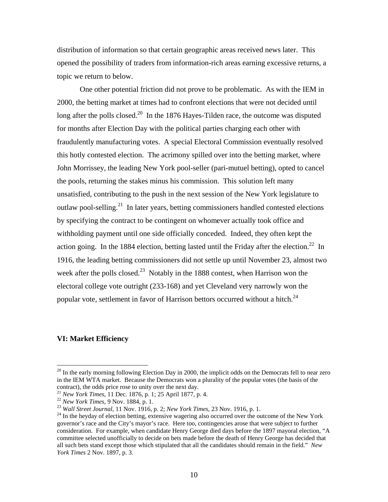distribution of information so that certain geographic areas received news later. This opened the possibility of traders from information-rich areas earning excessive returns, a topic we return to below.

One other potential friction did not prove to be problematic. As with the IEM in 2000, the betting market at times had to confront elections that were not decided until long after the polls closed.<sup>20</sup> In the 1876 Hayes-Tilden race, the outcome was disputed for months after Election Day with the political parties charging each other with fraudulently manufacturing votes. A special Electoral Commission eventually resolved this hotly contested election. The acrimony spilled over into the betting market, where John Morrissey, the leading New York pool-seller (pari-mutuel betting), opted to cancel the pools, returning the stakes minus his commission. This solution left many unsatisfied, contributing to the push in the next session of the New York legislature to outlaw pool-selling.<sup>21</sup> In later years, betting commissioners handled contested elections by specifying the contract to be contingent on whomever actually took office and withholding payment until one side officially conceded. Indeed, they often kept the action going. In the 1884 election, betting lasted until the Friday after the election.<sup>22</sup> In 1916, the leading betting commissioners did not settle up until November 23, almost two week after the polls closed.<sup>23</sup> Notably in the 1888 contest, when Harrison won the electoral college vote outright (233-168) and yet Cleveland very narrowly won the popular vote, settlement in favor of Harrison bettors occurred without a hitch.<sup>24</sup>

## **VI: Market Efficiency**

 $20$  In the early morning following Election Day in 2000, the implicit odds on the Democrats fell to near zero in the IEM WTA market. Because the Democrats won a plurality of the popular votes (the basis of the contract), the odds price rose to unity over the next day.<br><sup>21</sup> New York Times, 11 Dec. 1876, p. 1; 25 April 1877, p. 4.

<sup>&</sup>lt;sup>22</sup> New York Times, 9 Nov. 1884, p. 1.<br>
<sup>23</sup> Wall Street Journal, 11 Nov. 1916, p. 2; New York Times, 23 Nov. 1916, p. 1.<br>
<sup>24</sup> In the heyday of election betting, extensive wagering also occurred over the outcome of the governor's race and the City's mayor's race. Here too, contingencies arose that were subject to further consideration. For example, when candidate Henry George died days before the 1897 mayoral election, "A committee selected unofficially to decide on bets made before the death of Henry George has decided that all such bets stand except those which stipulated that all the candidates should remain in the field." *New York Times* 2 Nov. 1897, p. 3.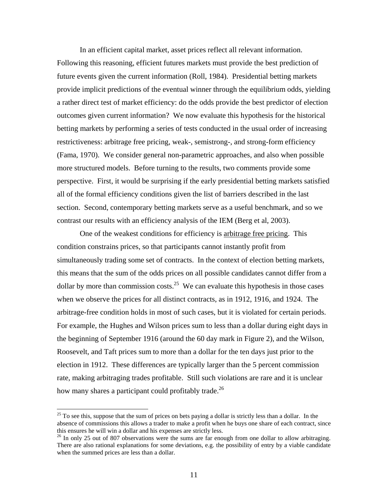In an efficient capital market, asset prices reflect all relevant information. Following this reasoning, efficient futures markets must provide the best prediction of future events given the current information (Roll, 1984). Presidential betting markets provide implicit predictions of the eventual winner through the equilibrium odds, yielding a rather direct test of market efficiency: do the odds provide the best predictor of election outcomes given current information? We now evaluate this hypothesis for the historical betting markets by performing a series of tests conducted in the usual order of increasing restrictiveness: arbitrage free pricing, weak-, semistrong-, and strong-form efficiency (Fama, 1970). We consider general non-parametric approaches, and also when possible more structured models. Before turning to the results, two comments provide some perspective. First, it would be surprising if the early presidential betting markets satisfied all of the formal efficiency conditions given the list of barriers described in the last section. Second, contemporary betting markets serve as a useful benchmark, and so we contrast our results with an efficiency analysis of the IEM (Berg et al, 2003).

One of the weakest conditions for efficiency is arbitrage free pricing. This condition constrains prices, so that participants cannot instantly profit from simultaneously trading some set of contracts. In the context of election betting markets, this means that the sum of the odds prices on all possible candidates cannot differ from a dollar by more than commission costs.<sup>25</sup> We can evaluate this hypothesis in those cases when we observe the prices for all distinct contracts, as in 1912, 1916, and 1924. The arbitrage-free condition holds in most of such cases, but it is violated for certain periods. For example, the Hughes and Wilson prices sum to less than a dollar during eight days in the beginning of September 1916 (around the 60 day mark in Figure 2), and the Wilson, Roosevelt, and Taft prices sum to more than a dollar for the ten days just prior to the election in 1912. These differences are typically larger than the 5 percent commission rate, making arbitraging trades profitable. Still such violations are rare and it is unclear how many shares a participant could profitably trade.<sup>26</sup>

 $^{25}$  To see this, suppose that the sum of prices on bets paying a dollar is strictly less than a dollar. In the absence of commissions this allows a trader to make a profit when he buys one share of each contract, since this ensures he will win a dollar and his expenses are strictly less.

 $26$  In only 25 out of 807 observations were the sums are far enough from one dollar to allow arbitraging. There are also rational explanations for some deviations, e.g. the possibility of entry by a viable candidate when the summed prices are less than a dollar.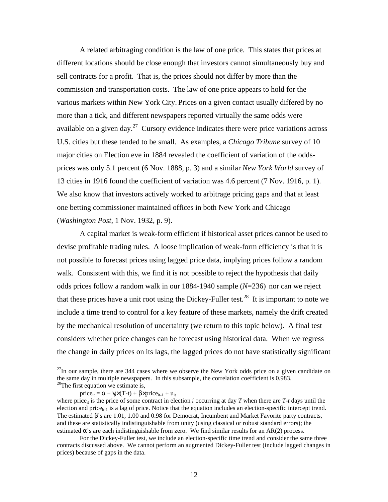A related arbitraging condition is the law of one price. This states that prices at different locations should be close enough that investors cannot simultaneously buy and sell contracts for a profit. That is, the prices should not differ by more than the commission and transportation costs. The law of one price appears to hold for the various markets within New York City. Prices on a given contact usually differed by no more than a tick, and different newspapers reported virtually the same odds were available on a given day.<sup>27</sup> Cursory evidence indicates there were price variations across U.S. cities but these tended to be small. As examples, a *Chicago Tribune* survey of 10 major cities on Election eve in 1884 revealed the coefficient of variation of the oddsprices was only 5.1 percent (6 Nov. 1888, p. 3) and a similar *New York World* survey of 13 cities in 1916 found the coefficient of variation was 4.6 percent (7 Nov. 1916, p. 1). We also know that investors actively worked to arbitrage pricing gaps and that at least one betting commissioner maintained offices in both New York and Chicago (*Washington Post*, 1 Nov. 1932, p. 9).

A capital market is weak-form efficient if historical asset prices cannot be used to devise profitable trading rules. A loose implication of weak-form efficiency is that it is not possible to forecast prices using lagged price data, implying prices follow a random walk. Consistent with this, we find it is not possible to reject the hypothesis that daily odds prices follow a random walk in our 1884-1940 sample (*N*=236) nor can we reject that these prices have a unit root using the Dickey-Fuller test.<sup>28</sup> It is important to note we include a time trend to control for a key feature of these markets, namely the drift created by the mechanical resolution of uncertainty (we return to this topic below). A final test considers whether price changes can be forecast using historical data. When we regress the change in daily prices on its lags, the lagged prices do not have statistically significant

 $^{27}$ In our sample, there are 344 cases where we observe the New York odds price on a given candidate on the same day in multiple newspapers. In this subsample, the correlation coefficient is 0.983. <sup>28</sup>The first equation we estimate is,

price<sub>it</sub> =  $\alpha$  +  $\gamma_i$ ×(T-t) +  $\beta$ ×price<sub>it-1</sub> + u<sub>it</sub>

where price<sub>it</sub> is the price of some contract in election *i* occurring at day *T* when there are *T*-*t* days until the election and price<sub>it-1</sub> is a lag of price. Notice that the equation includes an election-specific intercept trend. The estimated β's are 1.01, 1.00 and 0.98 for Democrat, Incumbent and Market Favorite party contracts, and these are statistically indistinguishable from unity (using classical or robust standard errors); the estimated  $\alpha$ 's are each indistinguishable from zero. We find similar results for an AR(2) process.

For the Dickey-Fuller test, we include an election-specific time trend and consider the same three contracts discussed above. We cannot perform an augmented Dickey-Fuller test (include lagged changes in prices) because of gaps in the data.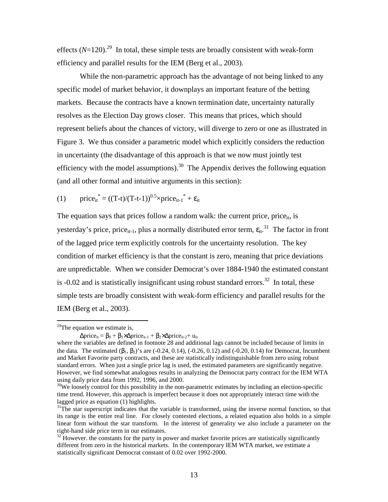effects  $(N=120)$ <sup>29</sup> In total, these simple tests are broadly consistent with weak-form efficiency and parallel results for the IEM (Berg et al., 2003).

While the non-parametric approach has the advantage of not being linked to any specific model of market behavior, it downplays an important feature of the betting markets. Because the contracts have a known termination date, uncertainty naturally resolves as the Election Day grows closer. This means that prices, which should represent beliefs about the chances of victory, will diverge to zero or one as illustrated in Figure 3. We thus consider a parametric model which explicitly considers the reduction in uncertainty (the disadvantage of this approach is that we now must jointly test efficiency with the model assumptions).<sup>30</sup> The Appendix derives the following equation (and all other formal and intuitive arguments in this section):

(1) price<sub>it</sub><sup>\*</sup> = ((T-t)/(T-t-1))<sup>0.5</sup>×price<sub>it-1</sub><sup>\*</sup> + 
$$
\varepsilon_{it}
$$

The equation says that prices follow a random walk: the current price, price $_{it}$ , is yesterday's price, price<sub>it-1</sub>, plus a normally distributed error term,  $\epsilon_{it}$ <sup>31</sup> The factor in front of the lagged price term explicitly controls for the uncertainty resolution. The key condition of market efficiency is that the constant is zero, meaning that price deviations are unpredictable. When we consider Democrat's over 1884-1940 the estimated constant is  $-0.02$  and is statistically insignificant using robust standard errors.<sup>32</sup> In total, these simple tests are broadly consistent with weak-form efficiency and parallel results for the IEM (Berg et al., 2003).

 $29$ The equation we estimate is,

 $\Delta$ price<sub>it</sub> =  $\beta_0 + \beta_1 \times \Delta$ price<sub>it-1</sub> +  $\beta_2 \times \Delta$ price<sub>it-2</sub>+ u<sub>it</sub>

where the variables are defined in footnote 28 and additional lags cannot be included because of limits in the data. The estimated  $(\beta_1, \beta_2)$ 's are (-0.24, 0.14), (-0.26, 0.12) and (-0.20, 0.14) for Democrat, Incumbent and Market Favorite party contracts, and these are statistically indistinguishable from zero using robust standard errors. When just a single price lag is used, the estimated parameters are significantly negative. However, we find somewhat analogous results in analyzing the Democrat party contract for the IEM WTA using daily price data from 1992, 1996, and 2000.

 $30$ We loosely control for this possibility in the non-parametric estimates by including an election-specific time trend. However, this approach is imperfect because it does not appropriately interact time with the lagged price as equation (1) highlights.

 $31$ The star superscript indicates that the variable is transformed, using the inverse normal function, so that its range is the entire real line. For closely contested elections, a related equation also holds in a simple linear form without the star transform. In the interest of generality we also include a parameter on the right-hand side price term in our estimates.

 $32$  However. the constants for the party in power and market favorite prices are statistically significantly different from zero in the historical markets. In the contemporary IEM WTA market, we estimate a statistically significant Democrat constant of 0.02 over 1992-2000.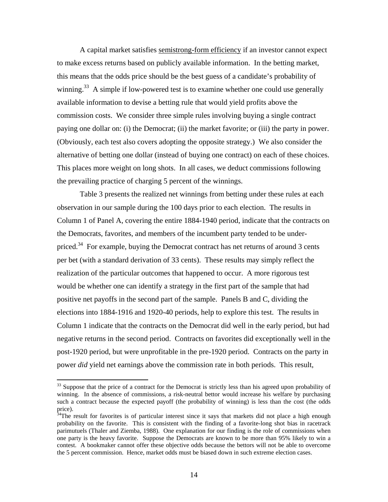A capital market satisfies semistrong-form efficiency if an investor cannot expect to make excess returns based on publicly available information. In the betting market, this means that the odds price should be the best guess of a candidate's probability of winning.<sup>33</sup> A simple if low-powered test is to examine whether one could use generally available information to devise a betting rule that would yield profits above the commission costs. We consider three simple rules involving buying a single contract paying one dollar on: (i) the Democrat; (ii) the market favorite; or (iii) the party in power. (Obviously, each test also covers adopting the opposite strategy.) We also consider the alternative of betting one dollar (instead of buying one contract) on each of these choices. This places more weight on long shots. In all cases, we deduct commissions following the prevailing practice of charging 5 percent of the winnings.

Table 3 presents the realized net winnings from betting under these rules at each observation in our sample during the 100 days prior to each election. The results in Column 1 of Panel A, covering the entire 1884-1940 period, indicate that the contracts on the Democrats, favorites, and members of the incumbent party tended to be underpriced.<sup>34</sup> For example, buying the Democrat contract has net returns of around 3 cents per bet (with a standard derivation of 33 cents). These results may simply reflect the realization of the particular outcomes that happened to occur. A more rigorous test would be whether one can identify a strategy in the first part of the sample that had positive net payoffs in the second part of the sample. Panels B and C, dividing the elections into 1884-1916 and 1920-40 periods, help to explore this test. The results in Column 1 indicate that the contracts on the Democrat did well in the early period, but had negative returns in the second period. Contracts on favorites did exceptionally well in the post-1920 period, but were unprofitable in the pre-1920 period. Contracts on the party in power *did* yield net earnings above the commission rate in both periods. This result,

<sup>&</sup>lt;sup>33</sup> Suppose that the price of a contract for the Democrat is strictly less than his agreed upon probability of winning. In the absence of commissions, a risk-neutral bettor would increase his welfare by purchasing such a contract because the expected payoff (the probability of winning) is less than the cost (the odds price).

 $34$ The result for favorites is of particular interest since it says that markets did not place a high enough probability on the favorite. This is consistent with the finding of a favorite-long shot bias in racetrack parimutuels (Thaler and Ziemba, 1988). One explanation for our finding is the role of commissions when one party is the heavy favorite. Suppose the Democrats are known to be more than 95% likely to win a contest. A bookmaker cannot offer these objective odds because the bettors will not be able to overcome the 5 percent commission. Hence, market odds must be biased down in such extreme election cases.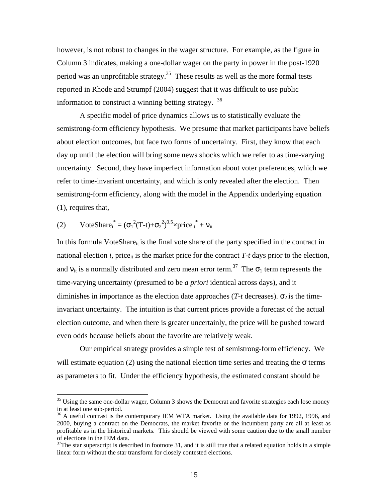however, is not robust to changes in the wager structure. For example, as the figure in Column 3 indicates, making a one-dollar wager on the party in power in the post-1920 period was an unprofitable strategy.<sup>35</sup> These results as well as the more formal tests reported in Rhode and Strumpf (2004) suggest that it was difficult to use public information to construct a winning betting strategy.  $36$ 

A specific model of price dynamics allows us to statistically evaluate the semistrong-form efficiency hypothesis. We presume that market participants have beliefs about election outcomes, but face two forms of uncertainty. First, they know that each day up until the election will bring some news shocks which we refer to as time-varying uncertainty. Second, they have imperfect information about voter preferences, which we refer to time-invariant uncertainty, and which is only revealed after the election. Then semistrong-form efficiency, along with the model in the Appendix underlying equation (1), requires that,

(2) VoteShare<sub>i</sub><sup>\*</sup> = ( $\sigma_1^2(T-t)+\sigma_2^2$ )<sup>0.5</sup>×price<sub>it</sub><sup>\*</sup> + v<sub>it</sub>

-

In this formula VoteShare<sub>it</sub> is the final vote share of the party specified in the contract in national election *i*, price<sub>it</sub> is the market price for the contract  $T-t$  days prior to the election, and  $v_{it}$  is a normally distributed and zero mean error term.<sup>37</sup> The  $\sigma_1$  term represents the time-varying uncertainty (presumed to be *a priori* identical across days), and it diminishes in importance as the election date approaches ( $T-t$  decreases).  $\sigma_2$  is the timeinvariant uncertainty. The intuition is that current prices provide a forecast of the actual election outcome, and when there is greater uncertainly, the price will be pushed toward even odds because beliefs about the favorite are relatively weak.

Our empirical strategy provides a simple test of semistrong-form efficiency. We will estimate equation (2) using the national election time series and treating the  $\sigma$  terms as parameters to fit. Under the efficiency hypothesis, the estimated constant should be

 $35$  Using the same one-dollar wager, Column 3 shows the Democrat and favorite strategies each lose money in at least one sub-period.

<sup>&</sup>lt;sup>36</sup> A useful contrast is the contemporary IEM WTA market. Using the available data for 1992, 1996, and 2000, buying a contract on the Democrats, the market favorite or the incumbent party are all at least as profitable as in the historical markets. This should be viewed with some caution due to the small number of elections in the IEM data.

 $37$ The star superscript is described in footnote 31, and it is still true that a related equation holds in a simple linear form without the star transform for closely contested elections.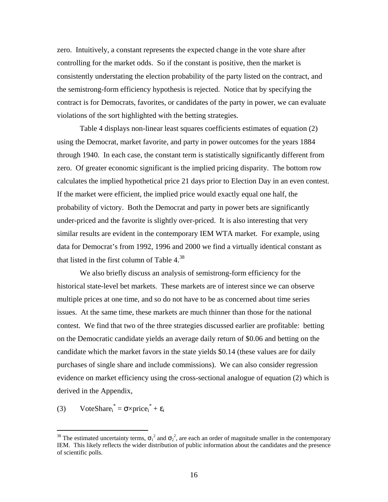zero. Intuitively, a constant represents the expected change in the vote share after controlling for the market odds. So if the constant is positive, then the market is consistently understating the election probability of the party listed on the contract, and the semistrong-form efficiency hypothesis is rejected. Notice that by specifying the contract is for Democrats, favorites, or candidates of the party in power, we can evaluate violations of the sort highlighted with the betting strategies.

Table 4 displays non-linear least squares coefficients estimates of equation (2) using the Democrat, market favorite, and party in power outcomes for the years 1884 through 1940. In each case, the constant term is statistically significantly different from zero. Of greater economic significant is the implied pricing disparity. The bottom row calculates the implied hypothetical price 21 days prior to Election Day in an even contest. If the market were efficient, the implied price would exactly equal one half, the probability of victory. Both the Democrat and party in power bets are significantly under-priced and the favorite is slightly over-priced. It is also interesting that very similar results are evident in the contemporary IEM WTA market. For example, using data for Democrat's from 1992, 1996 and 2000 we find a virtually identical constant as that listed in the first column of Table  $4^{38}$ .

 We also briefly discuss an analysis of semistrong-form efficiency for the historical state-level bet markets. These markets are of interest since we can observe multiple prices at one time, and so do not have to be as concerned about time series issues. At the same time, these markets are much thinner than those for the national contest. We find that two of the three strategies discussed earlier are profitable: betting on the Democratic candidate yields an average daily return of \$0.06 and betting on the candidate which the market favors in the state yields \$0.14 (these values are for daily purchases of single share and include commissions). We can also consider regression evidence on market efficiency using the cross-sectional analogue of equation (2) which is derived in the Appendix,

(3) VoteShare<sub>i</sub><sup>\*</sup> =  $\sigma \times \text{price}_i^* + \varepsilon_i$ 

<sup>&</sup>lt;sup>38</sup> The estimated uncertainty terms,  $\sigma_1^2$  and  $\sigma_2^2$ , are each an order of magnitude smaller in the contemporary IEM. This likely reflects the wider distribution of public information about the candidates and the presence of scientific polls.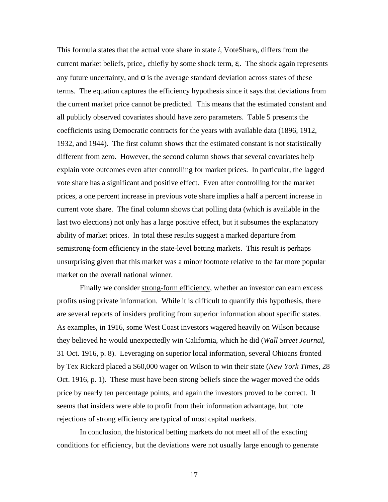This formula states that the actual vote share in state *i*, VoteSharei, differs from the current market beliefs, price<sub>i</sub>, chiefly by some shock term,  $\varepsilon$ <sub>i</sub>. The shock again represents any future uncertainty, and  $\sigma$  is the average standard deviation across states of these terms. The equation captures the efficiency hypothesis since it says that deviations from the current market price cannot be predicted. This means that the estimated constant and all publicly observed covariates should have zero parameters. Table 5 presents the coefficients using Democratic contracts for the years with available data (1896, 1912, 1932, and 1944). The first column shows that the estimated constant is not statistically different from zero. However, the second column shows that several covariates help explain vote outcomes even after controlling for market prices. In particular, the lagged vote share has a significant and positive effect. Even after controlling for the market prices, a one percent increase in previous vote share implies a half a percent increase in current vote share. The final column shows that polling data (which is available in the last two elections) not only has a large positive effect, but it subsumes the explanatory ability of market prices. In total these results suggest a marked departure from semistrong-form efficiency in the state-level betting markets. This result is perhaps unsurprising given that this market was a minor footnote relative to the far more popular market on the overall national winner.

Finally we consider strong-form efficiency, whether an investor can earn excess profits using private information. While it is difficult to quantify this hypothesis, there are several reports of insiders profiting from superior information about specific states. As examples, in 1916, some West Coast investors wagered heavily on Wilson because they believed he would unexpectedly win California, which he did (*Wall Street Journal*, 31 Oct. 1916, p. 8). Leveraging on superior local information, several Ohioans fronted by Tex Rickard placed a \$60,000 wager on Wilson to win their state (*New York Times*, 28 Oct. 1916, p. 1). These must have been strong beliefs since the wager moved the odds price by nearly ten percentage points, and again the investors proved to be correct. It seems that insiders were able to profit from their information advantage, but note rejections of strong efficiency are typical of most capital markets.

In conclusion, the historical betting markets do not meet all of the exacting conditions for efficiency, but the deviations were not usually large enough to generate

17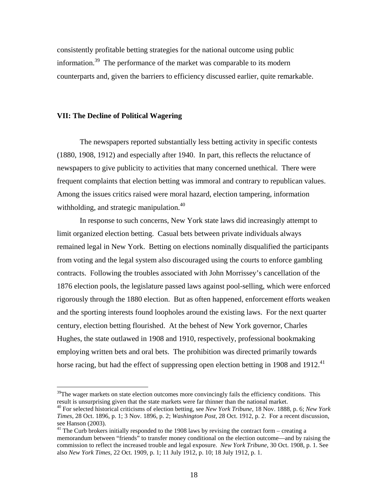consistently profitable betting strategies for the national outcome using public information.39 The performance of the market was comparable to its modern counterparts and, given the barriers to efficiency discussed earlier, quite remarkable.

## **VII: The Decline of Political Wagering**

<u>.</u>

The newspapers reported substantially less betting activity in specific contests (1880, 1908, 1912) and especially after 1940. In part, this reflects the reluctance of newspapers to give publicity to activities that many concerned unethical. There were frequent complaints that election betting was immoral and contrary to republican values. Among the issues critics raised were moral hazard, election tampering, information withholding, and strategic manipulation.<sup>40</sup>

In response to such concerns, New York state laws did increasingly attempt to limit organized election betting. Casual bets between private individuals always remained legal in New York. Betting on elections nominally disqualified the participants from voting and the legal system also discouraged using the courts to enforce gambling contracts. Following the troubles associated with John Morrissey's cancellation of the 1876 election pools, the legislature passed laws against pool-selling, which were enforced rigorously through the 1880 election. But as often happened, enforcement efforts weaken and the sporting interests found loopholes around the existing laws. For the next quarter century, election betting flourished. At the behest of New York governor, Charles Hughes, the state outlawed in 1908 and 1910, respectively, professional bookmaking employing written bets and oral bets. The prohibition was directed primarily towards horse racing, but had the effect of suppressing open election betting in 1908 and 1912.<sup>41</sup>

 $39$ The wager markets on state election outcomes more convincingly fails the efficiency conditions. This result is unsurprising given that the state markets were far thinner than the national market.

<sup>40</sup> For selected historical criticisms of election betting, see *New York Tribune*, 18 Nov. 1888, p. 6; *New York Times*, 28 Oct. 1896, p. 1; 3 Nov. 1896, p. 2; *Washington Post*, 28 Oct. 1912, p. 2. For a recent discussion, see Hanson (2003).

 $41$  The Curb brokers initially responded to the 1908 laws by revising the contract form – creating a memorandum between "friends" to transfer money conditional on the election outcome—and by raising the commission to reflect the increased trouble and legal exposure. *New York Tribune*, 30 Oct. 1908, p. 1. See also *New York Times*, 22 Oct. 1909, p. 1; 11 July 1912, p. 10; 18 July 1912, p. 1.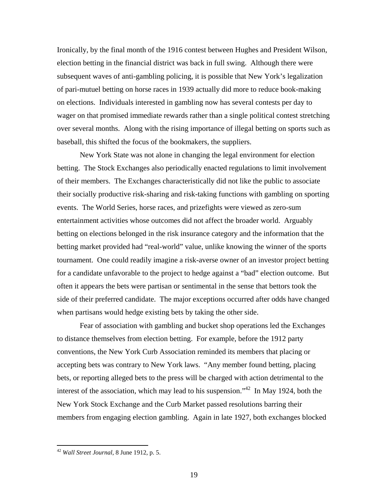Ironically, by the final month of the 1916 contest between Hughes and President Wilson, election betting in the financial district was back in full swing. Although there were subsequent waves of anti-gambling policing, it is possible that New York's legalization of pari-mutuel betting on horse races in 1939 actually did more to reduce book-making on elections. Individuals interested in gambling now has several contests per day to wager on that promised immediate rewards rather than a single political contest stretching over several months. Along with the rising importance of illegal betting on sports such as baseball, this shifted the focus of the bookmakers, the suppliers.

New York State was not alone in changing the legal environment for election betting. The Stock Exchanges also periodically enacted regulations to limit involvement of their members. The Exchanges characteristically did not like the public to associate their socially productive risk-sharing and risk-taking functions with gambling on sporting events. The World Series, horse races, and prizefights were viewed as zero-sum entertainment activities whose outcomes did not affect the broader world. Arguably betting on elections belonged in the risk insurance category and the information that the betting market provided had "real-world" value, unlike knowing the winner of the sports tournament. One could readily imagine a risk-averse owner of an investor project betting for a candidate unfavorable to the project to hedge against a "bad" election outcome. But often it appears the bets were partisan or sentimental in the sense that bettors took the side of their preferred candidate. The major exceptions occurred after odds have changed when partisans would hedge existing bets by taking the other side.

Fear of association with gambling and bucket shop operations led the Exchanges to distance themselves from election betting. For example, before the 1912 party conventions, the New York Curb Association reminded its members that placing or accepting bets was contrary to New York laws. "Any member found betting, placing bets, or reporting alleged bets to the press will be charged with action detrimental to the interest of the association, which may lead to his suspension.<sup> $142$ </sup> In May 1924, both the New York Stock Exchange and the Curb Market passed resolutions barring their members from engaging election gambling. Again in late 1927, both exchanges blocked

<sup>42</sup> *Wall Street Journal*, 8 June 1912, p. 5.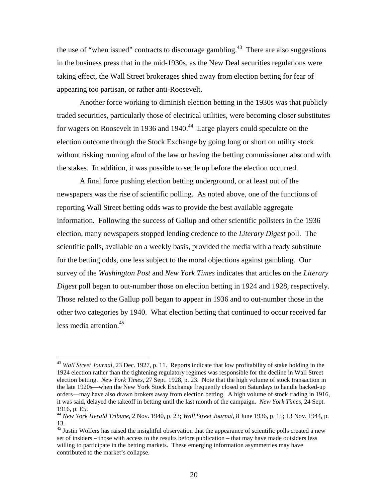the use of "when issued" contracts to discourage gambling.<sup>43</sup> There are also suggestions in the business press that in the mid-1930s, as the New Deal securities regulations were taking effect, the Wall Street brokerages shied away from election betting for fear of appearing too partisan, or rather anti-Roosevelt.

Another force working to diminish election betting in the 1930s was that publicly traded securities, particularly those of electrical utilities, were becoming closer substitutes for wagers on Roosevelt in 1936 and 1940.<sup>44</sup> Large players could speculate on the election outcome through the Stock Exchange by going long or short on utility stock without risking running afoul of the law or having the betting commissioner abscond with the stakes. In addition, it was possible to settle up before the election occurred.

 A final force pushing election betting underground, or at least out of the newspapers was the rise of scientific polling. As noted above, one of the functions of reporting Wall Street betting odds was to provide the best available aggregate information. Following the success of Gallup and other scientific pollsters in the 1936 election, many newspapers stopped lending credence to the *Literary Digest* poll. The scientific polls, available on a weekly basis, provided the media with a ready substitute for the betting odds, one less subject to the moral objections against gambling. Our survey of the *Washington Post* and *New York Times* indicates that articles on the *Literary Digest* poll began to out-number those on election betting in 1924 and 1928, respectively. Those related to the Gallup poll began to appear in 1936 and to out-number those in the other two categories by 1940. What election betting that continued to occur received far less media attention.<sup>45</sup>

<sup>43</sup> *Wall Street Journal*, 23 Dec. 1927, p. 11. Reports indicate that low profitability of stake holding in the 1924 election rather than the tightening regulatory regimes was responsible for the decline in Wall Street election betting. *New York Times*, 27 Sept. 1928, p. 23. Note that the high volume of stock transaction in the late 1920s—when the New York Stock Exchange frequently closed on Saturdays to handle backed-up orders—may have also drawn brokers away from election betting. A high volume of stock trading in 1916, it was said, delayed the takeoff in betting until the last month of the campaign. *New York Times*, 24 Sept. 1916, p. E5.

<sup>44</sup> *New York Herald Tribune*, 2 Nov. 1940, p. 23; *Wall Street Journal*, 8 June 1936, p. 15; 13 Nov. 1944, p. 13.

<sup>&</sup>lt;sup>45</sup> Justin Wolfers has raised the insightful observation that the appearance of scientific polls created a new set of insiders – those with access to the results before publication – that may have made outsiders less willing to participate in the betting markets. These emerging information asymmetries may have contributed to the market's collapse.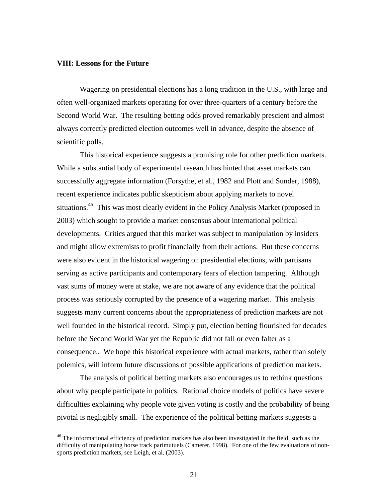#### **VIII: Lessons for the Future**

<u>.</u>

Wagering on presidential elections has a long tradition in the U.S., with large and often well-organized markets operating for over three-quarters of a century before the Second World War. The resulting betting odds proved remarkably prescient and almost always correctly predicted election outcomes well in advance, despite the absence of scientific polls.

This historical experience suggests a promising role for other prediction markets. While a substantial body of experimental research has hinted that asset markets can successfully aggregate information (Forsythe, et al., 1982 and Plott and Sunder, 1988), recent experience indicates public skepticism about applying markets to novel situations.<sup>46</sup> This was most clearly evident in the Policy Analysis Market (proposed in 2003) which sought to provide a market consensus about international political developments. Critics argued that this market was subject to manipulation by insiders and might allow extremists to profit financially from their actions. But these concerns were also evident in the historical wagering on presidential elections, with partisans serving as active participants and contemporary fears of election tampering. Although vast sums of money were at stake, we are not aware of any evidence that the political process was seriously corrupted by the presence of a wagering market. This analysis suggests many current concerns about the appropriateness of prediction markets are not well founded in the historical record. Simply put, election betting flourished for decades before the Second World War yet the Republic did not fall or even falter as a consequence.. We hope this historical experience with actual markets, rather than solely polemics, will inform future discussions of possible applications of prediction markets.

The analysis of political betting markets also encourages us to rethink questions about why people participate in politics. Rational choice models of politics have severe difficulties explaining why people vote given voting is costly and the probability of being pivotal is negligibly small. The experience of the political betting markets suggests a

<sup>&</sup>lt;sup>46</sup> The informational efficiency of prediction markets has also been investigated in the field, such as the difficulty of manipulating horse track parimutuels (Camerer, 1998). For one of the few evaluations of nonsports prediction markets, see Leigh, et al. (2003).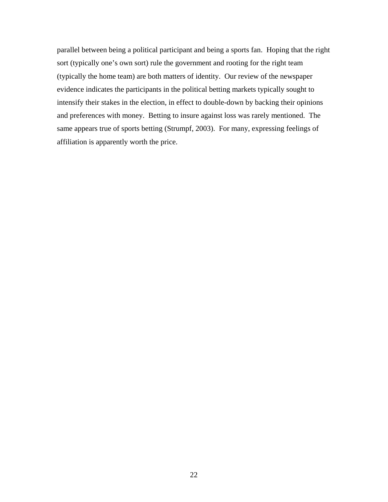parallel between being a political participant and being a sports fan. Hoping that the right sort (typically one's own sort) rule the government and rooting for the right team (typically the home team) are both matters of identity. Our review of the newspaper evidence indicates the participants in the political betting markets typically sought to intensify their stakes in the election, in effect to double-down by backing their opinions and preferences with money. Betting to insure against loss was rarely mentioned. The same appears true of sports betting (Strumpf, 2003). For many, expressing feelings of affiliation is apparently worth the price.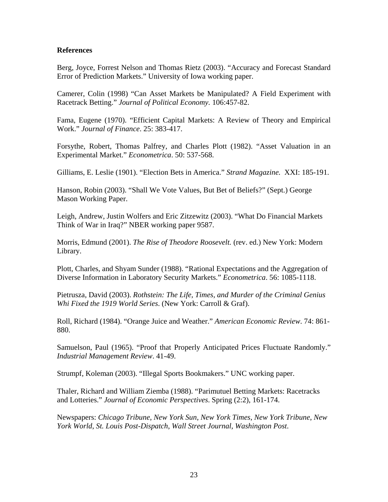# **References**

Berg, Joyce, Forrest Nelson and Thomas Rietz (2003). "Accuracy and Forecast Standard Error of Prediction Markets." University of Iowa working paper.

Camerer, Colin (1998) "Can Asset Markets be Manipulated? A Field Experiment with Racetrack Betting." *Journal of Political Economy.* 106:457-82.

Fama, Eugene (1970). "Efficient Capital Markets: A Review of Theory and Empirical Work." *Journal of Finance*. 25: 383-417.

Forsythe, Robert, Thomas Palfrey, and Charles Plott (1982). "Asset Valuation in an Experimental Market." *Econometrica*. 50: 537-568.

Gilliams, E. Leslie (1901). "Election Bets in America." *Strand Magazine.* XXI: 185-191.

Hanson, Robin (2003). "Shall We Vote Values, But Bet of Beliefs?" (Sept.) George Mason Working Paper.

Leigh, Andrew, Justin Wolfers and Eric Zitzewitz (2003). "What Do Financial Markets Think of War in Iraq?" NBER working paper 9587.

Morris, Edmund (2001). *The Rise of Theodore Roosevelt.* (rev. ed.) New York: Modern Library.

Plott, Charles, and Shyam Sunder (1988). "Rational Expectations and the Aggregation of Diverse Information in Laboratory Security Markets." *Econometrica*. 56: 1085-1118.

Pietrusza, David (2003). *Rothstein: The Life, Times, and Murder of the Criminal Genius Whi Fixed the 1919 World Series*. (New York: Carroll & Graf).

Roll, Richard (1984). "Orange Juice and Weather." *American Economic Review*. 74: 861- 880.

Samuelson, Paul (1965). "Proof that Properly Anticipated Prices Fluctuate Randomly." *Industrial Management Review*. 41-49.

Strumpf, Koleman (2003). "Illegal Sports Bookmakers." UNC working paper.

Thaler, Richard and William Ziemba (1988). "Parimutuel Betting Markets: Racetracks and Lotteries." *Journal of Economic Perspectives*. Spring (2:2), 161-174.

Newspapers: *Chicago Tribune*, *New York Sun*, *New York Times*, *New York Tribune*, *New York World*, *St. Louis Post-Dispatch*, *Wall Street Journal*, *Washington Post*.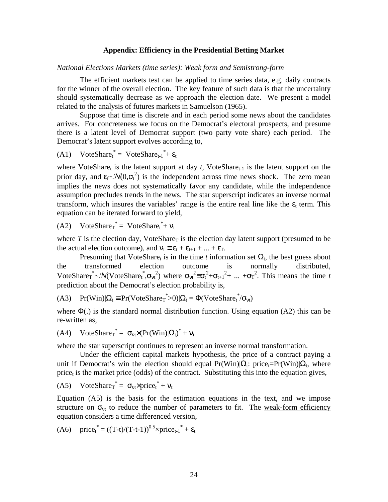#### **Appendix: Efficiency in the Presidential Betting Market**

*National Elections Markets (time series): Weak form and Semistrong-form* 

The efficient markets test can be applied to time series data, e.g. daily contracts for the winner of the overall election. The key feature of such data is that the uncertainty should systematically decrease as we approach the election date. We present a model related to the analysis of futures markets in Samuelson (1965).

Suppose that time is discrete and in each period some news about the candidates arrives. For concreteness we focus on the Democrat's electoral prospects, and presume there is a latent level of Democrat support (two party vote share) each period. The Democrat's latent support evolves according to,

$$
(A1) \quad VoteShare_t^* = VoteShare_{t-1}^* + \varepsilon_t
$$

where VoteShare $<sub>t</sub>$  is the latent support at day  $t$ , VoteShare $<sub>t-1</sub>$  is the latent support on the</sub></sub> prior day, and  $\epsilon_t \sim \mathcal{N}(0, \sigma_t^2)$  is the independent across time news shock. The zero mean implies the news does not systematically favor any candidate, while the independence assumption precludes trends in the news. The star superscript indicates an inverse normal transform, which insures the variables' range is the entire real line like the  $\varepsilon_t$  term. This equation can be iterated forward to yield,

(A2) VoteShare<sub>T</sub><sup>\*</sup> = VoteShare<sub>t</sub><sup>\*</sup>+  $v_t$ 

where  $T$  is the election day, VoteShare<sub>T</sub> is the election day latent support (presumed to be the actual election outcome), and  $v_t = \varepsilon_t + \varepsilon_{t+1} + ... + \varepsilon_T$ .

Presuming that VoteShare<sub>t</sub> is in the time *t* information set  $\Omega_t$ , the best guess about the transformed election outcome is normally distributed, VoteShare<sub>t</sub><sup>\*</sup>~ $\mathcal{N}$ (VoteShare<sub>t</sub><sup>\*</sup>, $\sigma_{vt}$ <sup>2</sup>) where  $\sigma_{vt}$ <sup>2</sup> = $\sigma_t$ <sup>2</sup>+ $\sigma_{t+1}$ <sup>2</sup>+ ... + $\sigma_T$ <sup>2</sup>. This means the time *t* prediction about the Democrat's election probability is,

(A3) 
$$
Pr(Win)|\Omega_t \equiv Pr(VoteShare_T^* > 0)|\Omega_t = \Phi(VoteShare_t^* / \sigma_{vt})
$$

where  $\Phi(.)$  is the standard normal distribution function. Using equation (A2) this can be re-written as,

$$
(A4) \quad VoteShare_T^* = \sigma_{vt} \times (Pr(Win)|\Omega_t)^* + v_t
$$

where the star superscript continues to represent an inverse normal transformation.

Under the efficient capital markets hypothesis, the price of a contract paying a unit if Democrat's win the election should equal Pr(Win)| $\Omega_t$ : price<sub>t</sub>=Pr(Win)| $\Omega_t$ , where price<sub>t</sub> is the market price (odds) of the contract. Substituting this into the equation gives,

$$
(A5) \quad VoteShare_T^* = \sigma_{vt} \times price_t^* + v_t
$$

Equation (A5) is the basis for the estimation equations in the text, and we impose structure on  $\sigma_{vt}$  to reduce the number of parameters to fit. The weak-form efficiency equation considers a time differenced version,

(A6) price<sup>\*</sup><sub>t</sub> = 
$$
((T-t)/(T-t-1))^{0.5}
$$
×price<sub>t-1</sub><sup>\*</sup> +  $\varepsilon_t$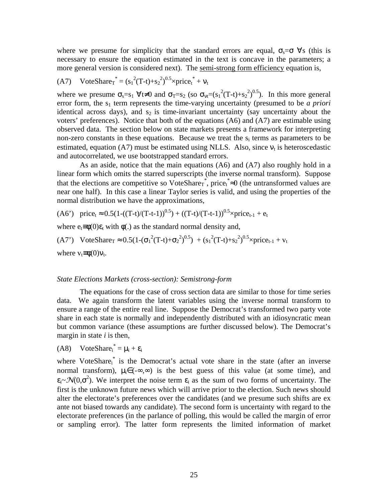where we presume for simplicity that the standard errors are equal,  $\sigma_s = \sigma \,\forall s$  (this is necessary to ensure the equation estimated in the text is concave in the parameters; a more general version is considered next). The semi-strong form efficiency equation is,

(A7) VoteShare<sub>T</sub><sup>\*</sup> = 
$$
(s_1^2(T-t)+s_2^2)^{0.5} \times \text{price}_t^* + v_t
$$

where we presume  $\sigma_s = s_1 \forall t \neq 0$  and  $\sigma_T = s_2$  (so  $\sigma_{vt} = (s_1^2(T-t)+s_2^2)^{0.5}$ ). In this more general error form, the s<sub>1</sub> term represents the time-varying uncertainty (presumed to be *a priori* identical across days), and  $s_2$  is time-invariant uncertainty (say uncertainty about the voters' preferences). Notice that both of the equations (A6) and (A7) are estimable using observed data. The section below on state markets presents a framework for interpreting non-zero constants in these equations. Because we treat the  $s_i$  terms as parameters to be estimated, equation (A7) must be estimated using NLLS. Also, since  $v_t$  is heteroscedastic and autocorrelated, we use bootstrapped standard errors.

As an aside, notice that the main equations (A6) and (A7) also roughly hold in a linear form which omits the starred superscripts (the inverse normal transform). Suppose that the elections are competitive so VoteShare<sub>T</sub><sup>\*</sup>, price<sub>t</sub><sup>\*</sup> $\approx$ 0 (the untransformed values are near one half). In this case a linear Taylor series is valid, and using the properties of the normal distribution we have the approximations,

$$
(A6')\ \ \text{price}_{t} \approx 0.5(1 - ((T-t)/(T-t-1))^{0.5}) + ((T-t)/(T-t-1))^{0.5} \times \text{price}_{t-1} + e_{t}
$$

where  $e_t \equiv \phi(0)\varepsilon_t$  with  $\phi(.)$  as the standard normal density and,

(A7') VoteShare<sub>T</sub>  $\approx 0.5(1-(\sigma_1^2(T-t)+\sigma_2^2)^{0.5}) + (s_1^2(T-t)+s_2^2)^{0.5} \times \text{price}_{t-1} + v_t$ where  $v_t \equiv \phi(0) v_t$ .

#### *State Elections Markets (cross-section): Semistrong-form*

The equations for the case of cross section data are similar to those for time series data. We again transform the latent variables using the inverse normal transform to ensure a range of the entire real line. Suppose the Democrat's transformed two party vote share in each state is normally and independently distributed with an idiosyncratic mean but common variance (these assumptions are further discussed below). The Democrat's margin in state *i* is then,

$$
(A8) \quad VoteShare_i^* = \mu_i + \varepsilon_i
$$

where VoteShare<sub>i</sub> is the Democrat's actual vote share in the state (after an inverse normal transform),  $\mu_i \in (-\infty, \infty)$  is the best guess of this value (at some time), and  $\epsilon_i \sim \mathcal{N}(0,\sigma^2)$ . We interpret the noise term  $\epsilon_i$  as the sum of two forms of uncertainty. The first is the unknown future news which will arrive prior to the election. Such news should alter the electorate's preferences over the candidates (and we presume such shifts are ex ante not biased towards any candidate). The second form is uncertainty with regard to the electorate preferences (in the parlance of polling, this would be called the margin of error or sampling error). The latter form represents the limited information of market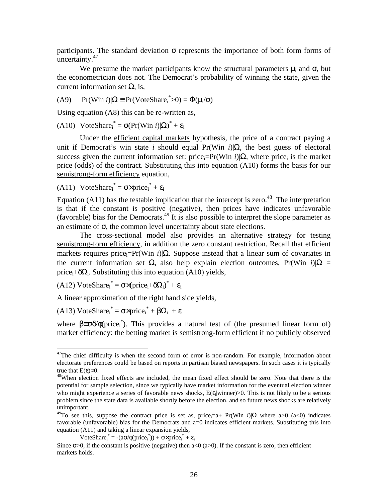participants. The standard deviation  $\sigma$  represents the importance of both form forms of uncertainty.47

We presume the market participants know the structural parameters  $\mu_i$  and  $\sigma$ , but the econometrician does not. The Democrat's probability of winning the state, given the current information set  $\Omega$ , is,

(A9) Pr(Win *i*)|Ω ≡ Pr(VoteShare<sub>i</sub><sup>\*</sup>>0) = Φ(μ<sub>i</sub>/σ)

Using equation (A8) this can be re-written as,

(A10) VoteShare<sub>i</sub><sup>\*</sup> =  $\sigma(\Pr(\text{Win } i)|\Omega)^* + \varepsilon_i$ 

Under the efficient capital markets hypothesis, the price of a contract paying a unit if Democrat's win state *i* should equal Pr(Win *i*)|Ω, the best guess of electoral success given the current information set: price<sub>i</sub>=Pr(Win *i*)| $\Omega$ , where price<sub>i</sub> is the market price (odds) of the contract. Substituting this into equation (A10) forms the basis for our semistrong-form efficiency equation,

(A11) VoteShare<sub>i</sub><sup>\*</sup> =  $\sigma \times \text{price}_i^* + \varepsilon_i$ 

Equation (A11) has the testable implication that the intercept is zero.<sup>48</sup> The interpretation is that if the constant is positive (negative), then prices have indicates unfavorable (favorable) bias for the Democrats.49 It is also possible to interpret the slope parameter as an estimate of  $\sigma$ , the common level uncertainty about state elections.

 The cross-sectional model also provides an alternative strategy for testing semistrong-form efficiency, in addition the zero constant restriction. Recall that efficient markets requires price<sub>i</sub>=Pr(Win *i*)|Ω. Suppose instead that a linear sum of covariates in the current information set  $\Omega_i$  also help explain election outcomes, Pr(Win *i*)| $\Omega$  = price<sub>i</sub>+ $\delta\Omega_i$ . Substituting this into equation (A10) yields,

(A12) VoteShare<sub>i</sub><sup>\*</sup> =  $\sigma \times (price_i + \delta \Omega_i)^* + \varepsilon_i$ 

A linear approximation of the right hand side yields,

(A13) VoteShare<sub>i</sub><sup>\*</sup> =  $\sigma \times \text{price}_i^* + \beta \Omega_i + \varepsilon_i$ 

<u>.</u>

where  $\beta = \sigma \delta / \phi$ (price<sub>i</sub><sup>\*</sup>). This provides a natural test of (the presumed linear form of) market efficiency: the betting market is semistrong-form efficient if no publicly observed

```
VoteShare<sub>i</sub><sup>*</sup> = -(a\sigma/\phi(price_i^*)) + \sigma\times price_i^* + \varepsilon_i
```
 $47$ The chief difficulty is when the second form of error is non-random. For example, information about electorate preferences could be based on reports in partisan biased newspapers. In such cases it is typically true that  $E(\varepsilon) \neq 0$ .<br><sup>48</sup>When election fixed effects are included, the mean fixed effect should be zero. Note that there is the

potential for sample selection, since we typically have market information for the eventual election winner who might experience a series of favorable news shocks,  $E(\varepsilon_i|winner) > 0$ . This is not likely to be a serious problem since the state data is available shortly before the election, and so future news shocks are relatively unimportant.

<sup>&</sup>lt;sup>49</sup>To see this, suppose the contract price is set as, price<sub>i</sub>=a+ Pr(Win *i*)| $\Omega$  where a>0 (a<0) indicates favorable (unfavorable) bias for the Democrats and a=0 indicates efficient markets. Substituting this into equation (A11) and taking a linear expansion yields,

Since  $\sigma$ >0, if the constant is positive (negative) then a<0 (a>0). If the constant is zero, then efficient markets holds.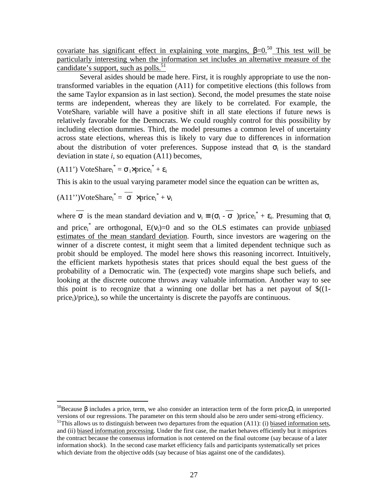covariate has significant effect in explaining vote margins,  $\beta = 0.50$  This test will be particularly interesting when the information set includes an alternative measure of the candidate's support, such as polls. $51$ 

Several asides should be made here. First, it is roughly appropriate to use the nontransformed variables in the equation (A11) for competitive elections (this follows from the same Taylor expansion as in last section). Second, the model presumes the state noise terms are independent, whereas they are likely to be correlated. For example, the VoteSharei variable will have a positive shift in all state elections if future news is relatively favorable for the Democrats. We could roughly control for this possibility by including election dummies. Third, the model presumes a common level of uncertainty across state elections, whereas this is likely to vary due to differences in information about the distribution of voter preferences. Suppose instead that  $\sigma_i$  is the standard deviation in state *i*, so equation (A11) becomes,

(A11') VoteShare<sub>i</sub><sup>\*</sup> =  $\sigma_i$ ×price<sub>i</sub><sup>\*</sup> +  $\varepsilon_i$ 

This is akin to the usual varying parameter model since the equation can be written as,

$$
(A11")VoteShare_i^* = \sigma \times price_i^* + v_i
$$

<u>.</u>

where  $\sigma$  is the mean standard deviation and  $v_i \equiv (\sigma_i - \sigma)$  price<sub>i</sub><sup>\*</sup> +  $\varepsilon_i$ . Presuming that  $\sigma_i$ and price<sub>i</sub><sup>\*</sup> are orthogonal,  $E(v_i)=0$  and so the OLS estimates can provide unbiased estimates of the mean standard deviation. Fourth, since investors are wagering on the winner of a discrete contest, it might seem that a limited dependent technique such as probit should be employed. The model here shows this reasoning incorrect. Intuitively, the efficient markets hypothesis states that prices should equal the best guess of the probability of a Democratic win. The (expected) vote margins shape such beliefs, and looking at the discrete outcome throws away valuable information. Another way to see this point is to recognize that a winning one dollar bet has a net payout of  $\frac{\sqrt{1}}{2}$  $price<sub>i</sub>)/price<sub>i</sub>$ , so while the uncertainty is discrete the payoffs are continuous.

<sup>&</sup>lt;sup>50</sup>Because β includes a price<sub>i</sub> term, we also consider an interaction term of the form price<sub>i</sub>Ω<sub>i</sub> in unreported versions of our regressions. The parameter on this term should also be zero under semi-strong efficiency.

 $51$ This allows us to distinguish between two departures from the equation (A11): (i) biased information sets, and (ii) biased information processing. Under the first case, the market behaves efficiently but it misprices the contract because the consensus information is not centered on the final outcome (say because of a later information shock). In the second case market efficiency fails and participants systematically set prices which deviate from the objective odds (say because of bias against one of the candidates).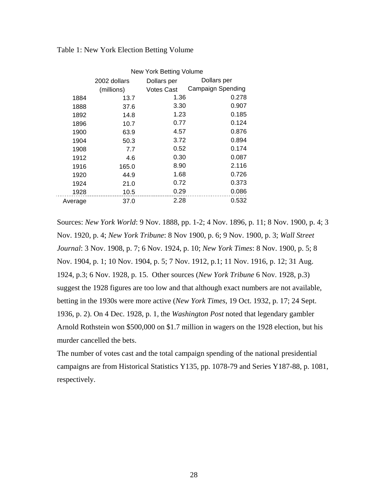|         | New York Betting Volume |             |                          |  |
|---------|-------------------------|-------------|--------------------------|--|
|         | 2002 dollars            | Dollars per | Dollars per              |  |
|         | (millions)              | Votes Cast  | <b>Campaign Spending</b> |  |
| 1884    | 13.7                    | 1.36        | 0.278                    |  |
| 1888    | 37.6                    | 3.30        | 0.907                    |  |
| 1892    | 14.8                    | 1.23        | 0.185                    |  |
| 1896    | 10.7                    | 0.77        | 0.124                    |  |
| 1900    | 63.9                    | 4.57        | 0.876                    |  |
| 1904    | 50.3                    | 3.72        | 0.894                    |  |
| 1908    | 7.7                     | 0.52        | 0.174                    |  |
| 1912    | 4.6                     | 0.30        | 0.087                    |  |
| 1916    | 165.0                   | 8.90        | 2.116                    |  |
| 1920    | 44.9                    | 1.68        | 0.726                    |  |
| 1924    | 21.0                    | 0.72        | 0.373                    |  |
| 1928    | 10.5                    | 0.29        | 0.086                    |  |
| Average | 37.0                    | 2.28        | 0.532                    |  |

Table 1: New York Election Betting Volume

Sources: *New York World*: 9 Nov. 1888, pp. 1-2; 4 Nov. 1896, p. 11; 8 Nov. 1900, p. 4; 3 Nov. 1920, p. 4; *New York Tribune*: 8 Nov 1900, p. 6; 9 Nov. 1900, p. 3; *Wall Street Journal*: 3 Nov. 1908, p. 7; 6 Nov. 1924, p. 10; *New York Times*: 8 Nov. 1900, p. 5; 8 Nov. 1904, p. 1; 10 Nov. 1904, p. 5; 7 Nov. 1912, p.1; 11 Nov. 1916, p. 12; 31 Aug. 1924, p.3; 6 Nov. 1928, p. 15. Other sources (*New York Tribune* 6 Nov. 1928, p.3) suggest the 1928 figures are too low and that although exact numbers are not available, betting in the 1930s were more active (*New York Times*, 19 Oct. 1932, p. 17; 24 Sept. 1936, p. 2). On 4 Dec. 1928, p. 1, the *Washington Post* noted that legendary gambler Arnold Rothstein won \$500,000 on \$1.7 million in wagers on the 1928 election, but his murder cancelled the bets.

The number of votes cast and the total campaign spending of the national presidential campaigns are from Historical Statistics Y135, pp. 1078-79 and Series Y187-88, p. 1081, respectively.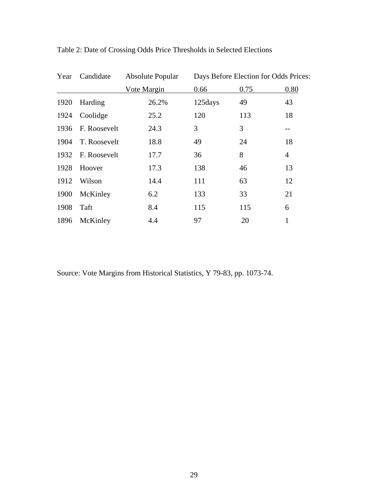| Year | Candidate    | Absolute Popular | Days Before Election for Odds Prices: |      |                |
|------|--------------|------------------|---------------------------------------|------|----------------|
|      |              | Vote Margin      | 0.66                                  | 0.75 | 0.80           |
| 1920 | Harding      | 26.2%            | 125days                               | 49   | 43             |
| 1924 | Coolidge     | 25.2             | 120                                   | 113  | 18             |
| 1936 | F. Roosevelt | 24.3             | 3                                     | 3    | $- -$          |
| 1904 | T. Roosevelt | 18.8             | 49                                    | 24   | 18             |
| 1932 | F. Roosevelt | 17.7             | 36                                    | 8    | $\overline{4}$ |
| 1928 | Hoover       | 17.3             | 138                                   | 46   | 13             |
| 1912 | Wilson       | 14.4             | 111                                   | 63   | 12             |
| 1900 | McKinley     | 6.2              | 133                                   | 33   | 21             |
| 1908 | Taft         | 8.4              | 115                                   | 115  | 6              |
| 1896 | McKinley     | 4.4              | 97                                    | 20   | $\mathbf{1}$   |

Table 2: Date of Crossing Odds Price Thresholds in Selected Elections

Source: Vote Margins from Historical Statistics, Y 79-83, pp. 1073-74.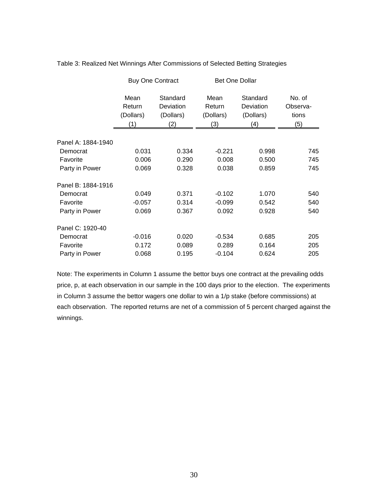|                    | <b>Buy One Contract</b>            |                                           | <b>Bet One Dollar</b>              |                                           |                                    |
|--------------------|------------------------------------|-------------------------------------------|------------------------------------|-------------------------------------------|------------------------------------|
|                    | Mean<br>Return<br>(Dollars)<br>(1) | Standard<br>Deviation<br>(Dollars)<br>(2) | Mean<br>Return<br>(Dollars)<br>(3) | Standard<br>Deviation<br>(Dollars)<br>(4) | No. of<br>Observa-<br>tions<br>(5) |
| Panel A: 1884-1940 |                                    |                                           |                                    |                                           |                                    |
| Democrat           | 0.031                              | 0.334                                     | $-0.221$                           | 0.998                                     | 745                                |
| Favorite           | 0.006                              | 0.290                                     | 0.008                              | 0.500                                     | 745                                |
| Party in Power     | 0.069                              | 0.328                                     | 0.038                              | 0.859                                     | 745                                |
| Panel B: 1884-1916 |                                    |                                           |                                    |                                           |                                    |
| Democrat           | 0.049                              | 0.371                                     | $-0.102$                           | 1.070                                     | 540                                |
| Favorite           | $-0.057$                           | 0.314                                     | $-0.099$                           | 0.542                                     | 540                                |
| Party in Power     | 0.069                              | 0.367                                     | 0.092                              | 0.928                                     | 540                                |
| Panel C: 1920-40   |                                    |                                           |                                    |                                           |                                    |
| Democrat           | $-0.016$                           | 0.020                                     | $-0.534$                           | 0.685                                     | 205                                |
| Favorite           | 0.172                              | 0.089                                     | 0.289                              | 0.164                                     | 205                                |
| Party in Power     | 0.068                              | 0.195                                     | $-0.104$                           | 0.624                                     | 205                                |

Table 3: Realized Net Winnings After Commissions of Selected Betting Strategies

Note: The experiments in Column 1 assume the bettor buys one contract at the prevailing odds price, p, at each observation in our sample in the 100 days prior to the election. The experiments in Column 3 assume the bettor wagers one dollar to win a 1/p stake (before commissions) at each observation. The reported returns are net of a commission of 5 percent charged against the winnings.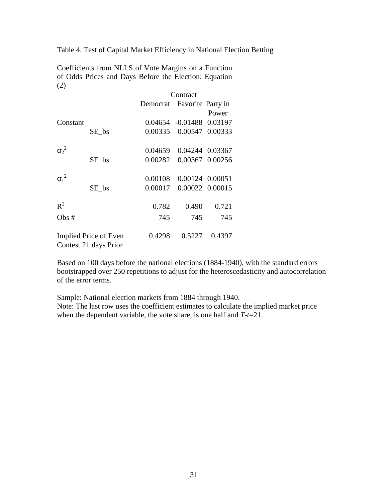Table 4. Test of Capital Market Efficiency in National Election Betting

Coefficients from NLLS of Vote Margins on a Function of Odds Prices and Days Before the Election: Equation (2)

|              |                                                                    | Contract                   |                          |                 |
|--------------|--------------------------------------------------------------------|----------------------------|--------------------------|-----------------|
|              |                                                                    | Democrat Favorite Party in |                          |                 |
|              |                                                                    |                            |                          | Power           |
| Constant     |                                                                    |                            | 0.04654 -0.01488 0.03197 |                 |
|              | SE_bs                                                              | 0.00335                    |                          | 0.00547 0.00333 |
| $\sigma_2^2$ |                                                                    | 0.04659                    |                          | 0.04244 0.03367 |
|              | SE bs                                                              | 0.00282                    |                          | 0.00367 0.00256 |
| $\sigma_1^2$ |                                                                    | 0.00108                    |                          | 0.00124 0.00051 |
|              | $SE_{bs}$                                                          | 0.00017                    |                          | 0.00022 0.00015 |
| $R^2$        |                                                                    | 0.782                      | 0.490                    | 0.721           |
| Obs#         |                                                                    | 745                        | 745                      | 745             |
|              | 0.4298<br>0.5227<br>Implied Price of Even<br>Contest 21 days Prior |                            | 0.4397                   |                 |

Based on 100 days before the national elections (1884-1940), with the standard errors bootstrapped over 250 repetitions to adjust for the heteroscedasticity and autocorrelation of the error terms.

Sample: National election markets from 1884 through 1940. Note: The last row uses the coefficient estimates to calculate the implied market price when the dependent variable, the vote share, is one half and *T-t*=21.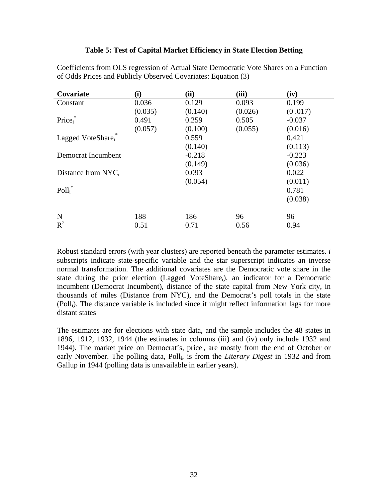# **Table 5: Test of Capital Market Efficiency in State Election Betting**

| Covariate             | (i)     | (ii)     | (iii)   | (iv)     |
|-----------------------|---------|----------|---------|----------|
| Constant              | 0.036   | 0.129    | 0.093   | 0.199    |
|                       | (0.035) | (0.140)  | (0.026) | (0.017)  |
| Price <sub>i</sub>    | 0.491   | 0.259    | 0.505   | $-0.037$ |
|                       | (0.057) | (0.100)  | (0.055) | (0.016)  |
| Lagged VoteShare      |         | 0.559    |         | 0.421    |
|                       |         | (0.140)  |         | (0.113)  |
| Democrat Incumbent    |         | $-0.218$ |         | $-0.223$ |
|                       |         | (0.149)  |         | (0.036)  |
| Distance from $NYC_i$ |         | 0.093    |         | 0.022    |
|                       |         | (0.054)  |         | (0.011)  |
| $Poll_i^*$            |         |          |         | 0.781    |
|                       |         |          |         | (0.038)  |
| N                     | 188     | 186      | 96      | 96       |
| $R^2$                 | 0.51    | 0.71     | 0.56    | 0.94     |

Coefficients from OLS regression of Actual State Democratic Vote Shares on a Function of Odds Prices and Publicly Observed Covariates: Equation (3)

Robust standard errors (with year clusters) are reported beneath the parameter estimates. *i* subscripts indicate state-specific variable and the star superscript indicates an inverse normal transformation. The additional covariates are the Democratic vote share in the state during the prior election (Lagged VoteShare<sub>i</sub>), an indicator for a Democratic incumbent (Democrat Incumbent), distance of the state capital from New York city, in thousands of miles (Distance from NYC), and the Democrat's poll totals in the state (Polli). The distance variable is included since it might reflect information lags for more distant states

The estimates are for elections with state data, and the sample includes the 48 states in 1896, 1912, 1932, 1944 (the estimates in columns (iii) and (iv) only include 1932 and 1944). The market price on Democrat's, pricei, are mostly from the end of October or early November. The polling data, Polli, is from the *Literary Digest* in 1932 and from Gallup in 1944 (polling data is unavailable in earlier years).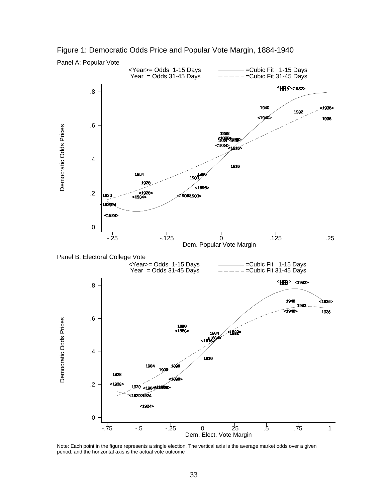

Figure 1: Democratic Odds Price and Popular Vote Margin, 1884-1940

Note: Each point in the figure represents a single election. The vertical axis is the average market odds over a given period, and the horizontal axis is the actual vote outcome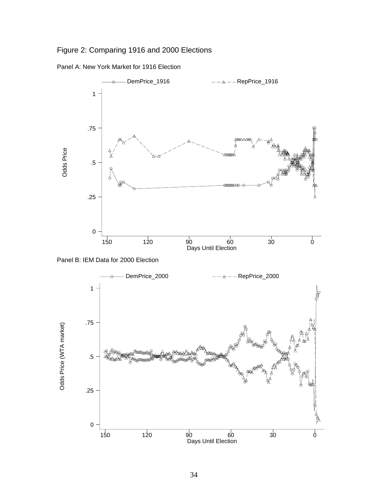Figure 2: Comparing 1916 and 2000 Elections





Panel B: IEM Data for 2000 Election

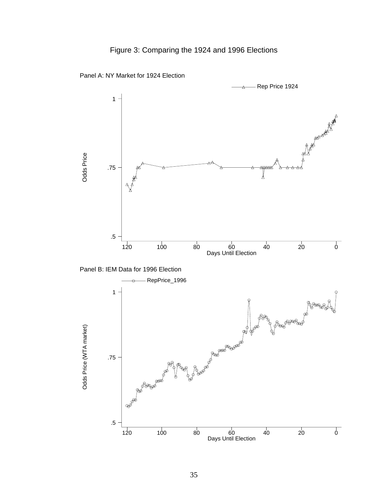# Figure 3: Comparing the 1924 and 1996 Elections







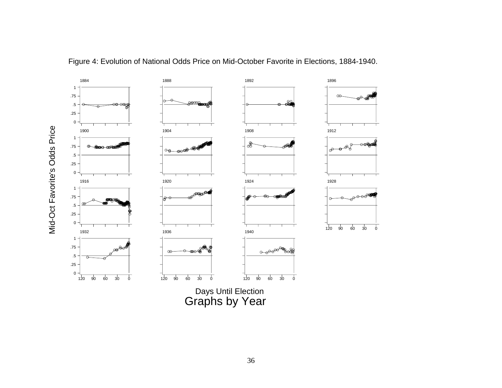

Figure 4: Evolution of National Odds Price on Mid-October Favorite in Elections, 1884-1940.